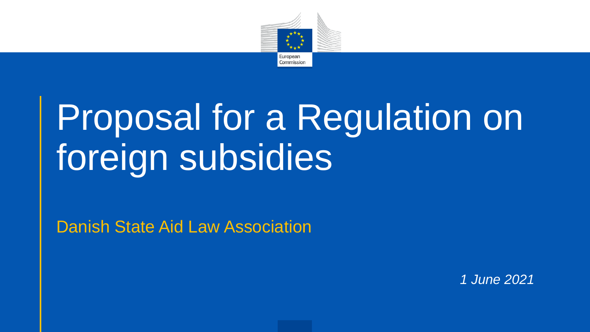

# Proposal for a Regulation on foreign subsidies

Danish State Aid Law Association

*1 June 2021*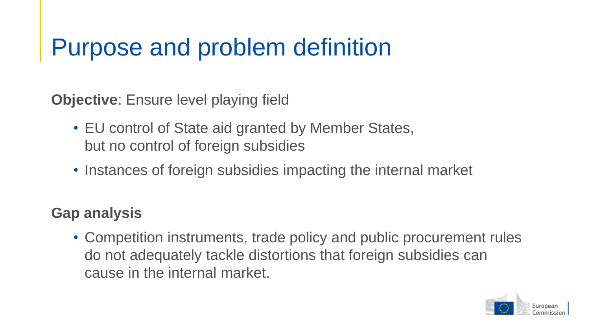### Purpose and problem definition

**Objective**: Ensure level playing field

- EU control of State aid granted by Member States, but no control of foreign subsidies
- Instances of foreign subsidies impacting the internal market

### **Gap analysis**

• Competition instruments, trade policy and public procurement rules do not adequately tackle distortions that foreign subsidies can cause in the internal market.

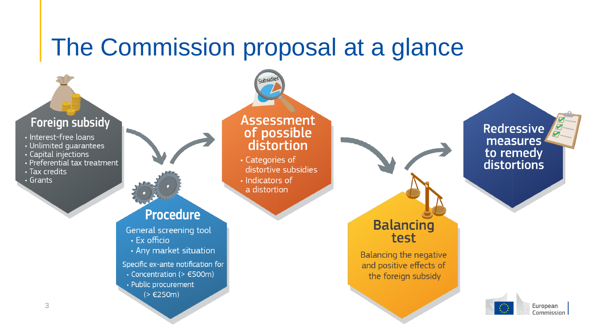### The Commission proposal at a glance

subsidie

#### **Foreign subsidy**

- · Interest-free loans
- Unlimited quarantees
- Capital injections
- Preferential tax treatment
- · Tax credits
- Grants

#### **Assessment** of possible distortion

- · Categories of distortive subsidies  $\cdot$  Indicators of
- a distortion

### **Procedure**

- General screening tool
- $\cdot$  Ex officio
- Any market situation

Specific ex-ante notification for

- $\cdot$  Concentration (>  $\epsilon$ 500m)
- Public procurement
	- $( > €250m)$



test



**Redressive** measures to remedy distortions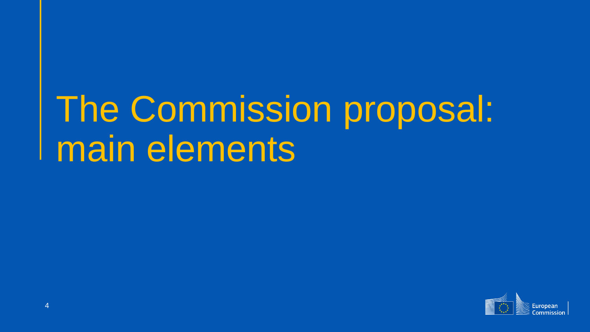# The Commission proposal: main elements

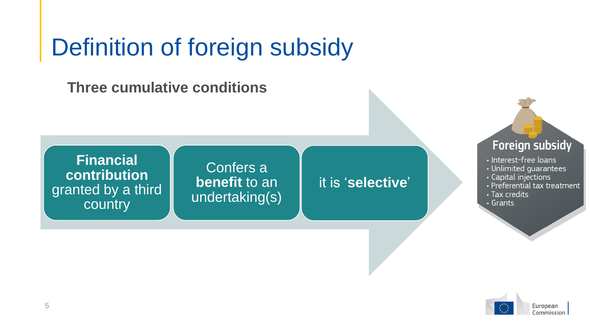## Definition of foreign subsidy

**Three cumulative conditions**

**Financial contribution**  granted by a third country

#### Confers a **benefit** to an undertaking(s)

#### it is '**selective**'

#### Foreign subsidy

- · Interest-free loans
- Unlimited guarantees
- · Capital injections
- Preferential tax treatment
- · Tax credits
- Grants

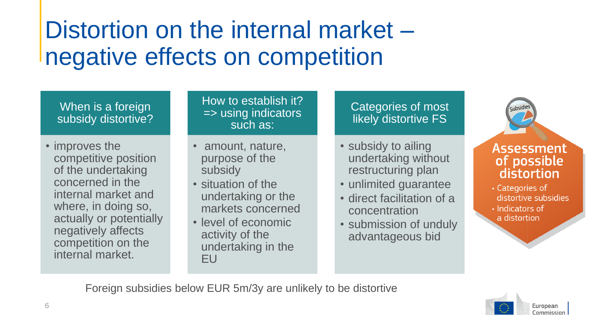## Distortion on the internal market – negative effects on competition

#### When is a foreign subsidy distortive?

• improves the competitive position of the undertaking concerned in the internal market and where, in doing so, actually or potentially negatively affects competition on the internal market.

#### How to establish it? => using indicators such as:

- amount, nature, purpose of the subsidy
- situation of the undertaking or the markets concerned
- level of economic activity of the undertaking in the EU

#### Categories of most likely distortive FS

- subsidy to ailing undertaking without restructuring plan
- unlimited guarantee
- direct facilitation of a concentration
- submission of unduly advantageous bid

#### **Assessment** of possible distortion

- · Categories of distortive subsidies
- $\cdot$  Indicators of

.<sub>ubsidie</sub>

a distortion

Foreign subsidies below EUR 5m/3y are unlikely to be distortive

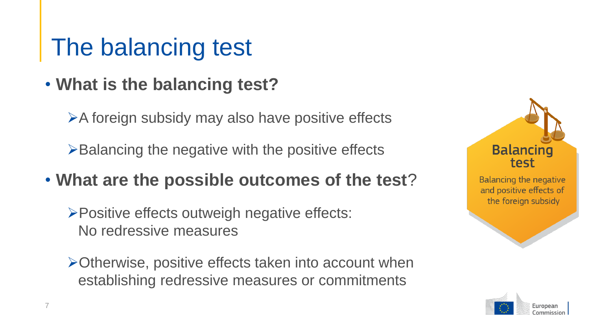## The balancing test

### • **What is the balancing test?**

➢A foreign subsidy may also have positive effects

 $\triangleright$ Balancing the negative with the positive effects

- **What are the possible outcomes of the test**?
	- ➢Positive effects outweigh negative effects: No redressive measures
	- ➢Otherwise, positive effects taken into account when establishing redressive measures or commitments





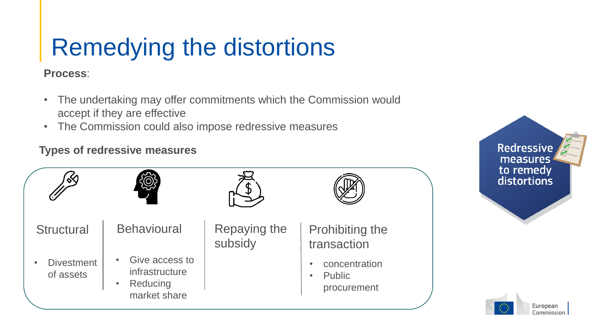# Remedying the distortions

**Process**:

- The undertaking may offer commitments which the Commission would accept if they are effective
- The Commission could also impose redressive measures

#### **Types of redressive measures**



**Redressive** measures to remedy distortions

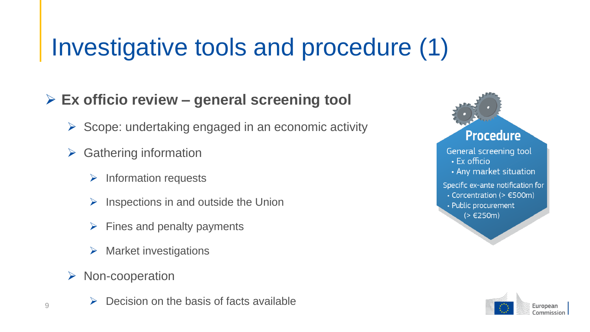# Investigative tools and procedure (1)

### ➢ **Ex officio review – general screening tool**

- ➢ Scope: undertaking engaged in an economic activity
- $\triangleright$  Gathering information
	- $\triangleright$  Information requests
	- $\triangleright$  Inspections in and outside the Union
	- $\triangleright$  Fines and penalty payments
	- $\triangleright$  Market investigations
- ➢ Non-cooperation
- $\phi$  Decision on the basis of facts available



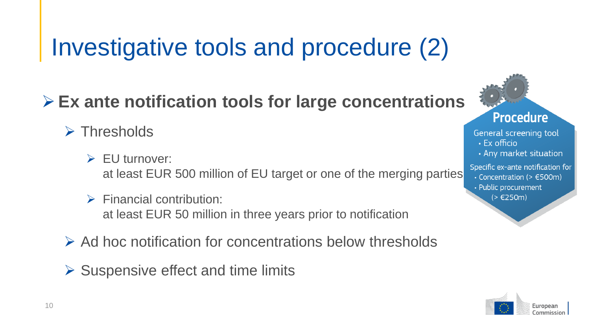# Investigative tools and procedure (2)

### ➢ **Ex ante notification tools for large concentrations**

- ➢ Thresholds
	- ➢ EU turnover: at least EUR 500 million of EU target or one of the merging parties
	- $\triangleright$  Financial contribution: at least EUR 50 million in three years prior to notification
- ➢ Ad hoc notification for concentrations below thresholds
- $\triangleright$  Suspensive effect and time limits



General screening tool  $\cdot$  Fx officio • Any market situation Specific ex-ante notification for

- $\cdot$  Concentration (>  $\in$  500m)
- Public procurement  $( > €250m)$

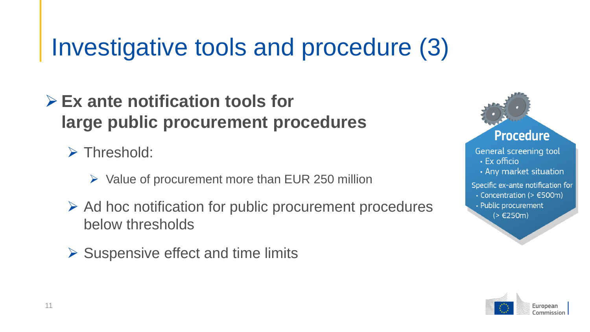# Investigative tools and procedure (3)

### ➢ **Ex ante notification tools for large public procurement procedures**

➢ Threshold:

- $\triangleright$  Value of procurement more than EUR 250 million
- ➢ Ad hoc notification for public procurement procedures below thresholds
- $\triangleright$  Suspensive effect and time limits